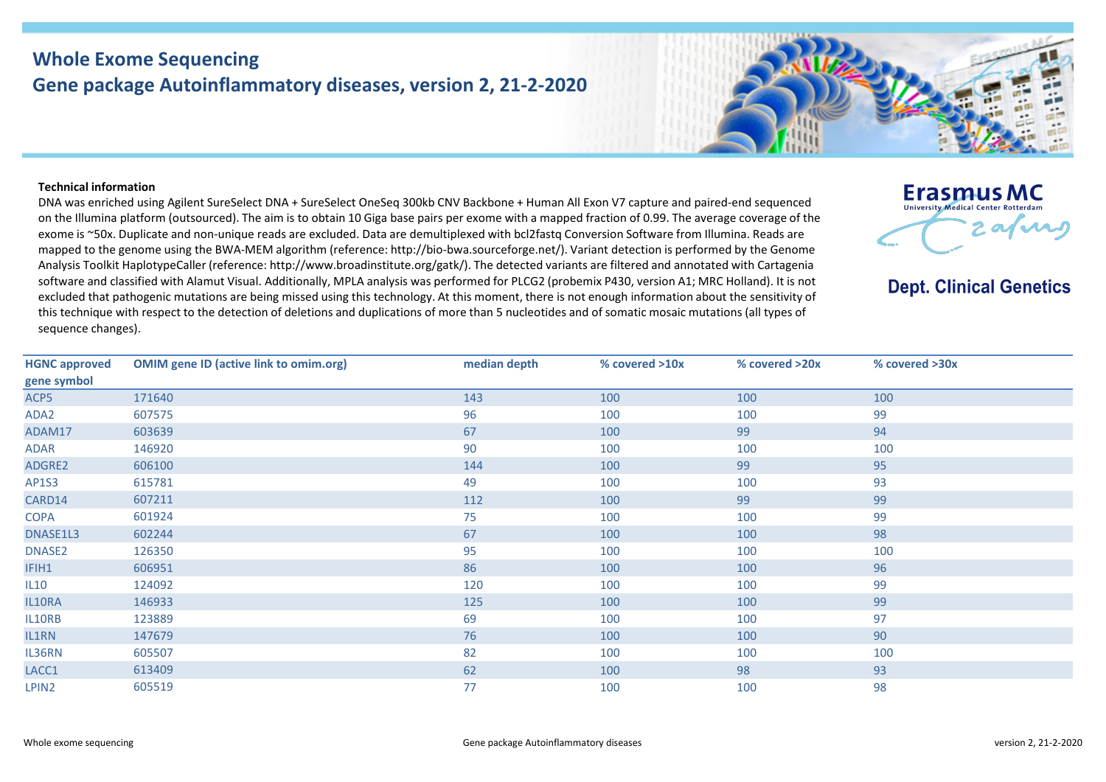## **Whole Exome Sequencing Gene package Autoinflammatory diseases, version 2, 21-2-2020**

## **Technical information**

DNA was enriched using Agilent SureSelect DNA + SureSelect OneSeq 300kb CNV Backbone + Human All Exon V7 capture and paired-end sequenced on the Illumina platform (outsourced). The aim is to obtain 10 Giga base pairs per exome with a mapped fraction of 0.99. The average coverage of the exome is ~50x. Duplicate and non-unique reads are excluded. Data are demultiplexed with bcl2fastq Conversion Software from Illumina. Reads are mapped to the genome using the BWA-MEM algorithm (reference: http://bio-bwa.sourceforge.net/). Variant detection is performed by the Genome Analysis Toolkit HaplotypeCaller (reference: http://www.broadinstitute.org/gatk/). The detected variants are filtered and annotated with Cartagenia software and classified with Alamut Visual. Additionally, MPLA analysis was performed for PLCG2 (probemix P430, version A1; MRC Holland). It is not excluded that pathogenic mutations are being missed using this technology. At this moment, there is not enough information about the sensitivity of this technique with respect to the detection of deletions and duplications of more than 5 nucleotides and of somatic mosaic mutations (all types of sequence changes).



**Dept. Clinical Genetics** 

| <b>HGNC approved</b> | <b>OMIM gene ID (active link to omim.org)</b> | median depth | % covered >10x | % covered >20x | % covered >30x |
|----------------------|-----------------------------------------------|--------------|----------------|----------------|----------------|
| gene symbol          |                                               |              |                |                |                |
| ACP5                 | 171640                                        | 143          | 100            | 100            | 100            |
| ADA2                 | 607575                                        | 96           | 100            | 100            | 99             |
| ADAM17               | 603639                                        | 67           | 100            | 99             | 94             |
| ADAR                 | 146920                                        | 90           | 100            | 100            | 100            |
| ADGRE2               | 606100                                        | 144          | 100            | 99             | 95             |
| AP1S3                | 615781                                        | 49           | 100            | 100            | 93             |
| CARD14               | 607211                                        | 112          | 100            | 99             | 99             |
| <b>COPA</b>          | 601924                                        | 75           | 100            | 100            | 99             |
| DNASE1L3             | 602244                                        | 67           | 100            | 100            | 98             |
| DNASE2               | 126350                                        | 95           | 100            | 100            | 100            |
| IFIH1                | 606951                                        | 86           | 100            | 100            | 96             |
| IL10                 | 124092                                        | 120          | 100            | 100            | 99             |
| IL10RA               | 146933                                        | 125          | 100            | 100            | 99             |
| IL10RB               | 123889                                        | 69           | 100            | 100            | 97             |
| IL1RN                | 147679                                        | 76           | 100            | 100            | 90             |
| IL36RN               | 605507                                        | 82           | 100            | 100            | 100            |
| LACC1                | 613409                                        | 62           | 100            | 98             | 93             |
| LPIN <sub>2</sub>    | 605519                                        | 77           | 100            | 100            | 98             |